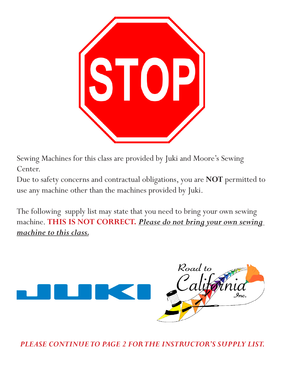

Sewing Machines for this class are provided by Juki and Moore's Sewing Center.

Due to safety concerns and contractual obligations, you are **NOT** permitted to use any machine other than the machines provided by Juki.

The following supply list may state that you need to bring your own sewing machine. **THIS IS NOT CORRECT.** *Please do not bring your own sewing machine to this class.*



*PLEASE CONTINUE TO PAGE 2 FOR THE INSTRUCTOR'S SUPPLY LIST.*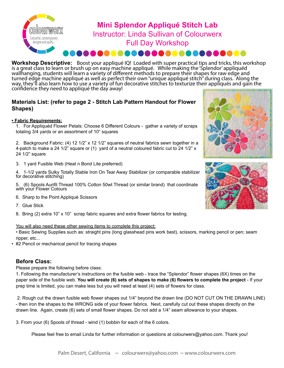

## **Mini Splendor Appliqué Stitch Lab** Instructor: Linda Sullivan of Colourwerx Full Day Workshop .....................

**Workshop Descriptive:** Boost your appliqué IQ! Loaded with super practical tips and tricks, this workshop is a great class to learn or brush up on easy machine appliqué. While making the 'Splendor' appliquéd wallhanging, students will learn a variety of different methods to prepare their shapes for raw edge and turned edge machine appliqué as well as perfect their own "unique appliqué stitch" during class. Along the way, they'll also learn how to use a variety of fun decorative stitches to texturize their appliqués and gain the confidence they need to appliqué the day away!

## **Materials List: (refer to page 2 - Stitch Lab Pattern Handout for Flower Shapes)**

## **• Fabric Requirements:**

1. For Appliquéd Flower Petals: Choose 6 Different Colours - gather a variety of scraps totaling 3/4 yards or an assortment of 10" squares

2. Background Fabric: (4) 12 1/2" x 12 1/2" squares of neutral fabrics sewn together in a 4-patch to make a 24 1/2" square or (1) yard of a neutral coloured fabric cut to 24 1/2" x 24 1/2" square

3. 1 yard Fusible Web (Heat n Bond Lite preferred)

4. 1-1/2 yards Sulky Totally Stable Iron On Tear Away Stabilizer (or comparable stabilizer for decorative stitching)

5. (6) Spools Aurifil Thread 100% Cotton 50wt Thread (or similar brand) that coordinate with your Flower Colours

- 6. Sharp to the Point Appliqué Scissors
- 7. Glue Stick
- 8. Bring (2) extra 10" x 10" scrap fabric squares and extra flower fabrics for testing.

You will also need these other sewing items to complete this project:

• Basic Sewing Supplies such as: straight pins (long glasshead pins work best), scissors, marking pencil or pen; seam ripper, etc...

• #2 Pencil or mechanical pencil for tracing shapes

## **Before Class:**

Please prepare the following before class:

1. Following the manufacturer's instructions on the fusible web - trace the "Splendor" flower shapes (6X) times on the paper side of the fusible web. **You will create (6) sets of shapes to make (6) flowers to complete the project** - If your prep time is limited, you can make less but you will need at least (4) sets of flowers for class.

 2. Rough cut the drawn fusible web flower shapes out 1/4" beyond the drawn line (DO NOT CUT ON THE DRAWN LINE) - then iron the shapes to the WRONG side of your flower fabrics. Next, carefully cut out these shapes directly on the drawn line. Again, create (6) sets of small flower shapes. Do not add a 1/4" seam allowance to your shapes.

3. From your (6) Spools of thread - wind (1) bobbin for each of the 6 colors.

Please feel free to email Linda for further information or questions at colourwerx@yahoo.com. Thank you!